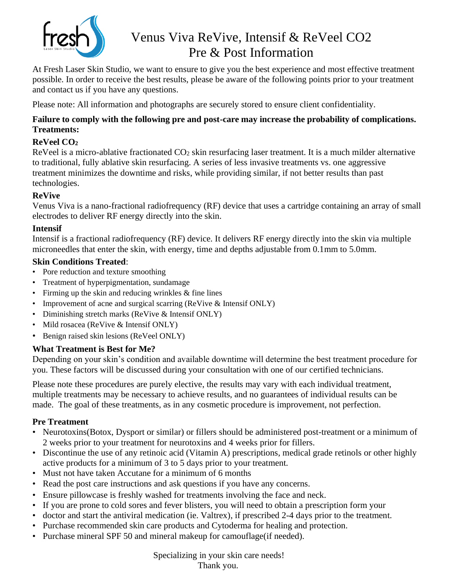

# Venus Viva ReVive, Intensif & ReVeel CO2 Pre & Post Information

At Fresh Laser Skin Studio, we want to ensure to give you the best experience and most effective treatment possible. In order to receive the best results, please be aware of the following points prior to your treatment and contact us if you have any questions.

Please note: All information and photographs are securely stored to ensure client confidentiality.

#### **Failure to comply with the following pre and post-care may increase the probability of complications. Treatments:**

# **ReVeel CO<sup>2</sup>**

ReVeel is a micro-ablative fractionated  $CO<sub>2</sub>$  skin resurfacing laser treatment. It is a much milder alternative to traditional, fully ablative skin resurfacing. A series of less invasive treatments vs. one aggressive treatment minimizes the downtime and risks, while providing similar, if not better results than past technologies.

## **ReVive**

Venus Viva is a nano-fractional radiofrequency (RF) device that uses a cartridge containing an array of small electrodes to deliver RF energy directly into the skin.

## **Intensif**

Intensif is a fractional radiofrequency (RF) device. It delivers RF energy directly into the skin via multiple microneedles that enter the skin, with energy, time and depths adjustable from 0.1mm to 5.0mm.

#### **Skin Conditions Treated**:

- Pore reduction and texture smoothing
- Treatment of hyperpigmentation, sundamage
- Firming up the skin and reducing wrinkles & fine lines
- Improvement of acne and surgical scarring (ReVive & Intensif ONLY)
- Diminishing stretch marks (ReVive & Intensif ONLY)
- Mild rosacea (ReVive & Intensif ONLY)
- Benign raised skin lesions (ReVeel ONLY)

## **What Treatment is Best for Me?**

Depending on your skin's condition and available downtime will determine the best treatment procedure for you. These factors will be discussed during your consultation with one of our certified technicians.

Please note these procedures are purely elective, the results may vary with each individual treatment, multiple treatments may be necessary to achieve results, and no guarantees of individual results can be made. The goal of these treatments, as in any cosmetic procedure is improvement, not perfection.

## **Pre Treatment**

- Neurotoxins(Botox, Dysport or similar) or fillers should be administered post-treatment or a minimum of 2 weeks prior to your treatment for neurotoxins and 4 weeks prior for fillers.
- Discontinue the use of any retinoic acid (Vitamin A) prescriptions, medical grade retinols or other highly active products for a minimum of 3 to 5 days prior to your treatment.
- Must not have taken Accutane for a minimum of 6 months
- Read the post care instructions and ask questions if you have any concerns.
- Ensure pillowcase is freshly washed for treatments involving the face and neck.
- If you are prone to cold sores and fever blisters, you will need to obtain a prescription form your
- doctor and start the antiviral medication (ie. Valtrex), if prescribed 2-4 days prior to the treatment.
- Purchase recommended skin care products and Cytoderma for healing and protection.
- Purchase mineral SPF 50 and mineral makeup for camouflage(if needed).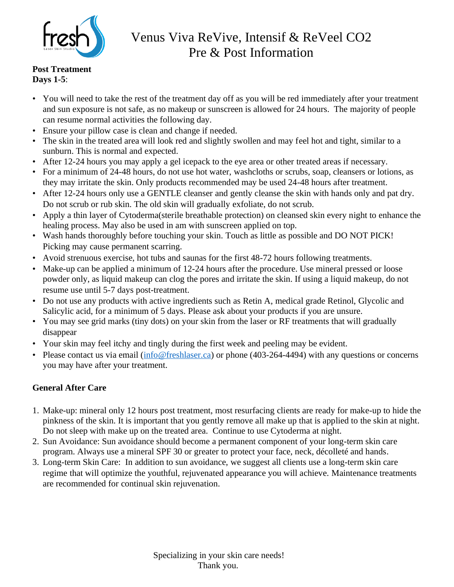

# Venus Viva ReVive, Intensif & ReVeel CO2 Pre & Post Information

#### **Post Treatment Days 1-5**:

- You will need to take the rest of the treatment day off as you will be red immediately after your treatment and sun exposure is not safe, as no makeup or sunscreen is allowed for 24 hours. The majority of people can resume normal activities the following day.
- Ensure your pillow case is clean and change if needed.
- The skin in the treated area will look red and slightly swollen and may feel hot and tight, similar to a sunburn. This is normal and expected.
- After 12-24 hours you may apply a gel icepack to the eye area or other treated areas if necessary.
- For a minimum of 24-48 hours, do not use hot water, washcloths or scrubs, soap, cleansers or lotions, as they may irritate the skin. Only products recommended may be used 24-48 hours after treatment.
- After 12-24 hours only use a GENTLE cleanser and gently cleanse the skin with hands only and pat dry. Do not scrub or rub skin. The old skin will gradually exfoliate, do not scrub.
- Apply a thin layer of Cytoderma(sterile breathable protection) on cleansed skin every night to enhance the healing process. May also be used in am with sunscreen applied on top.
- Wash hands thoroughly before touching your skin. Touch as little as possible and DO NOT PICK! Picking may cause permanent scarring.
- Avoid strenuous exercise, hot tubs and saunas for the first 48-72 hours following treatments.
- Make-up can be applied a minimum of 12-24 hours after the procedure. Use mineral pressed or loose powder only, as liquid makeup can clog the pores and irritate the skin. If using a liquid makeup, do not resume use until 5-7 days post-treatment.
- Do not use any products with active ingredients such as Retin A, medical grade Retinol, Glycolic and Salicylic acid, for a minimum of 5 days. Please ask about your products if you are unsure.
- You may see grid marks (tiny dots) on your skin from the laser or RF treatments that will gradually disappear
- Your skin may feel itchy and tingly during the first week and peeling may be evident.
- Please contact us via email  $(info@freshlaser.ca)$  or phone (403-264-4494) with any questions or concerns you may have after your treatment.

# **General After Care**

- 1. Make-up: mineral only 12 hours post treatment, most resurfacing clients are ready for make-up to hide the pinkness of the skin. It is important that you gently remove all make up that is applied to the skin at night. Do not sleep with make up on the treated area. Continue to use Cytoderma at night.
- 2. Sun Avoidance: Sun avoidance should become a permanent component of your long-term skin care program. Always use a mineral SPF 30 or greater to protect your face, neck, décolleté and hands.
- 3. Long-term Skin Care: In addition to sun avoidance, we suggest all clients use a long-term skin care regime that will optimize the youthful, rejuvenated appearance you will achieve. Maintenance treatments are recommended for continual skin rejuvenation.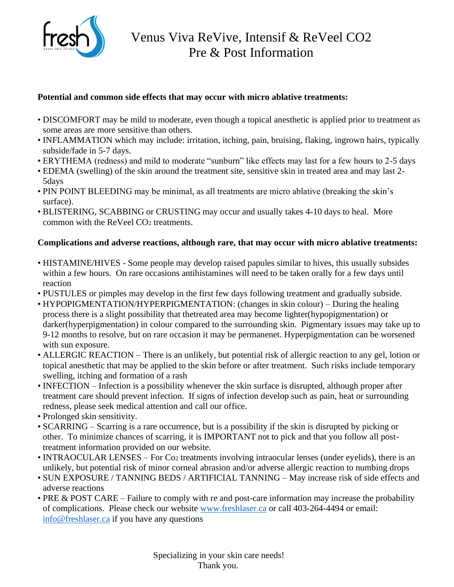

#### **Potential and common side effects that may occur with micro ablative treatments:**

- DISCOMFORT may be mild to moderate, even though a topical anesthetic is applied prior to treatment as some areas are more sensitive than others.
- INFLAMMATION which may include: irritation, itching, pain, bruising, flaking, ingrown hairs, typically subside/fade in 5-7 days.
- ERYTHEMA (redness) and mild to moderate "sunburn" like effects may last for a few hours to 2-5 days
- EDEMA (swelling) of the skin around the treatment site, sensitive skin in treated area and may last 2- 5days
- PIN POINT BLEEDING may be minimal, as all treatments are micro ablative (breaking the skin's surface).
- BLISTERING, SCABBING or CRUSTING may occur and usually takes 4-10 days to heal. More common with the ReVeel  $CO<sub>2</sub>$  treatments.

#### **Complications and adverse reactions, although rare, that may occur with micro ablative treatments:**

- HISTAMINE/HIVES Some people may develop raised papules similar to hives, this usually subsides within a few hours. On rare occasions antihistamines will need to be taken orally for a few days until reaction
- PUSTULES or pimples may develop in the first few days following treatment and gradually subside.
- HYPOPIGMENTATION/HYPERPIGMENTATION: (changes in skin colour) During the healing process there is a slight possibility that thetreated area may become lighter(hypopigmentation) or darker(hyperpigmentation) in colour compared to the surrounding skin. Pigmentary issues may take up to 9-12 months to resolve, but on rare occasion it may be permanenet. Hyperpigmentation can be worsened with sun exposure.
- ALLERGIC REACTION There is an unlikely, but potential risk of allergic reaction to any gel, lotion or topical anesthetic that may be applied to the skin before or after treatment. Such risks include temporary swelling, itching and formation of a rash
- INFECTION Infection is a possibility whenever the skin surface is disrupted, although proper after treatment care should prevent infection. If signs of infection develop such as pain, heat or surrounding redness, please seek medical attention and call our office.
- Prolonged skin sensitivity.
- SCARRING Scarring is a rare occurrence, but is a possibility if the skin is disrupted by picking or other. To minimize chances of scarring, it is IMPORTANT not to pick and that you follow all posttreatment information provided on our website.
- INTRAOCULAR LENSES For Co<sub>2</sub> treatments involving intraocular lenses (under eyelids), there is an unlikely, but potential risk of minor corneal abrasion and/or adverse allergic reaction to numbing drops
- SUN EXPOSURE / TANNING BEDS / ARTIFICIAL TANNING May increase risk of side effects and adverse reactions
- PRE & POST CARE Failure to comply with re and post-care information may increase the probability of complications. Please check our website [www.freshlaser.ca](http://www.freshlaser.ca/) or call 403-264-4494 or email: [info@freshlaser.ca](mailto:info@freshlaser.ca) if you have any questions